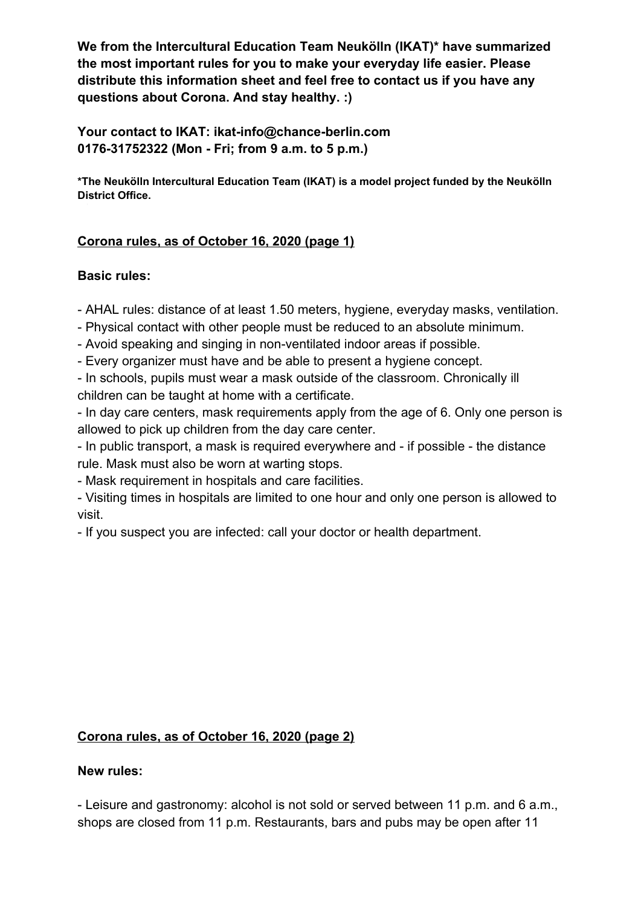**We from the Intercultural Education Team Neukölln (IKAT)\* have summarized the most important rules for you to make your everyday life easier. Please distribute this information sheet and feel free to contact us if you have any questions about Corona. And stay healthy. :)**

**Your contact to IKAT: ikat-info@chance-berlin.com 0176-31752322 (Mon - Fri; from 9 a.m. to 5 p.m.)**

**\*The Neukölln Intercultural Education Team (IKAT) is a model project funded by the Neukölln District Office.**

## **Corona rules, as of October 16, 2020 (page 1)**

## **Basic rules:**

- AHAL rules: distance of at least 1.50 meters, hygiene, everyday masks, ventilation.

- Physical contact with other people must be reduced to an absolute minimum.
- Avoid speaking and singing in non-ventilated indoor areas if possible.
- Every organizer must have and be able to present a hygiene concept.

- In schools, pupils must wear a mask outside of the classroom. Chronically ill children can be taught at home with a certificate.

- In day care centers, mask requirements apply from the age of 6. Only one person is allowed to pick up children from the day care center.

- In public transport, a mask is required everywhere and - if possible - the distance rule. Mask must also be worn at warting stops.

- Mask requirement in hospitals and care facilities.

- Visiting times in hospitals are limited to one hour and only one person is allowed to visit.

- If you suspect you are infected: call your doctor or health department.

## **Corona rules, as of October 16, 2020 (page 2)**

## **New rules:**

- Leisure and gastronomy: alcohol is not sold or served between 11 p.m. and 6 a.m., shops are closed from 11 p.m. Restaurants, bars and pubs may be open after 11